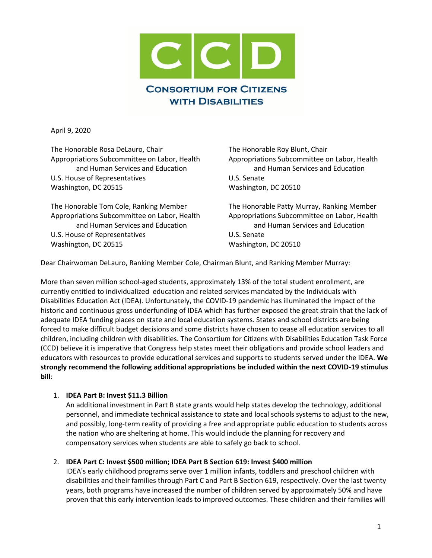

April 9, 2020

The Honorable Rosa DeLauro, Chair Appropriations Subcommittee on Labor, Health and Human Services and Education U.S. House of Representatives Washington, DC 20515

The Honorable Tom Cole, Ranking Member Appropriations Subcommittee on Labor, Health and Human Services and Education U.S. House of Representatives Washington, DC 20515

The Honorable Roy Blunt, Chair Appropriations Subcommittee on Labor, Health and Human Services and Education U.S. Senate Washington, DC 20510

The Honorable Patty Murray, Ranking Member Appropriations Subcommittee on Labor, Health and Human Services and Education U.S. Senate Washington, DC 20510

Dear Chairwoman DeLauro, Ranking Member Cole, Chairman Blunt, and Ranking Member Murray:

More than seven million school-aged students, approximately 13% of the total student enrollment, are currently entitled to individualized education and related services mandated by the Individuals with Disabilities Education Act (IDEA). Unfortunately, the COVID-19 pandemic has illuminated the impact of the historic and continuous gross underfunding of IDEA which has further exposed the great strain that the lack of adequate IDEA funding places on state and local education systems. States and school districts are being forced to make difficult budget decisions and some districts have chosen to cease all education services to all children, including children with disabilities. The Consortium for Citizens with Disabilities Education Task Force (CCD) believe it is imperative that Congress help states meet their obligations and provide school leaders and educators with resources to provide educational services and supports to students served under the IDEA. **We strongly recommend the following additional appropriations be included within the next COVID-19 stimulus bill**:

# 1. **IDEA Part B: Invest \$11.3 Billion**

An additional investment in Part B state grants would help states develop the technology, additional personnel, and immediate technical assistance to state and local schools systems to adjust to the new, and possibly, long-term reality of providing a free and appropriate public education to students across the nation who are sheltering at home. This would include the planning for recovery and compensatory services when students are able to safely go back to school.

## 2. **IDEA Part C: Invest \$500 million; IDEA Part B Section 619: Invest \$400 million**

IDEA's early childhood programs serve over 1 million infants, toddlers and preschool children with disabilities and their families through Part C and Part B Section 619, respectively. Over the last twenty years, both programs have increased the number of children served by approximately 50% and have proven that this early intervention leads to improved outcomes. These children and their families will